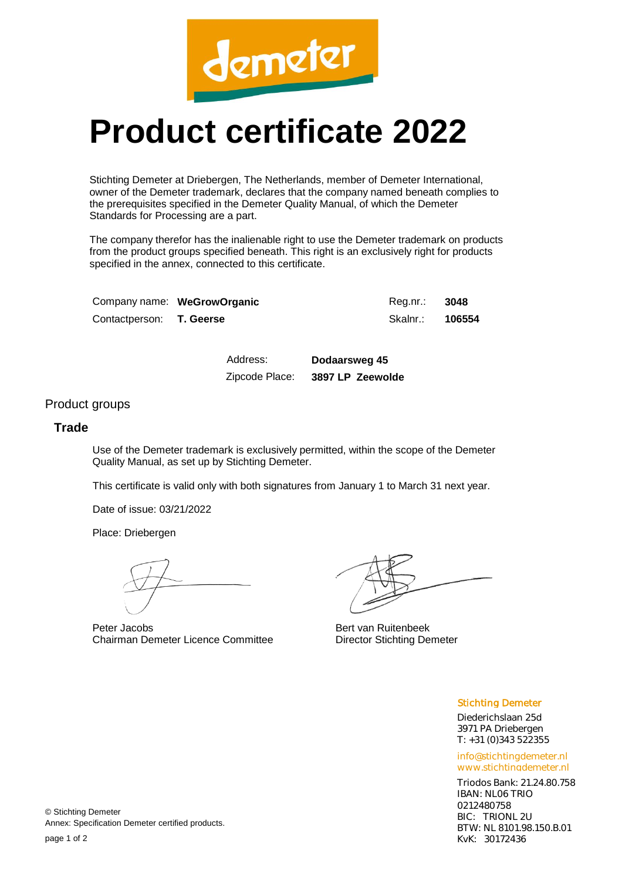

## **Product certificate 2022**

Stichting Demeter at Driebergen, The Netherlands, member of Demeter International, owner of the Demeter trademark, declares that the company named beneath complies to the prerequisites specified in the Demeter Quality Manual, of which the Demeter Standards for Processing are a part.

The company therefor has the inalienable right to use the Demeter trademark on products from the product groups specified beneath. This right is an exclusively right for products specified in the annex, connected to this certificate.

|                                 | Company name: WeGrowOrganic | Reg.nr.: 3048          |  |
|---------------------------------|-----------------------------|------------------------|--|
| Contactperson: <b>T. Geerse</b> |                             | Skalnr.: <b>106554</b> |  |

Address: **Dodaarsweg 45** Zipcode Place: **3897 LP Zeewolde**

## Product groups

## **Trade**

Use of the Demeter trademark is exclusively permitted, within the scope of the Demeter Quality Manual, as set up by Stichting Demeter.

This certificate is valid only with both signatures from January 1 to March 31 next year.

Date of issue: 03/21/2022

Place: Driebergen

Peter Jacobs Chairman Demeter Licence Committee

Bert van Ruitenbeek Director Stichting Demeter

Stichting Demeter

Diederichslaan 25d 3971 PA Driebergen T: +31 (0)343 522355

info@stichtingdemeter.nl www.stichtingdemeter.nl

Triodos Bank: 21.24.80.758 IBAN: NL06 TRIO 0212480758 BIC: TRIONL 2U BTW: NL 8101.98.150.B.01 KvK: 30172436

© Stichting Demeter Annex: Specification Demeter certified products.